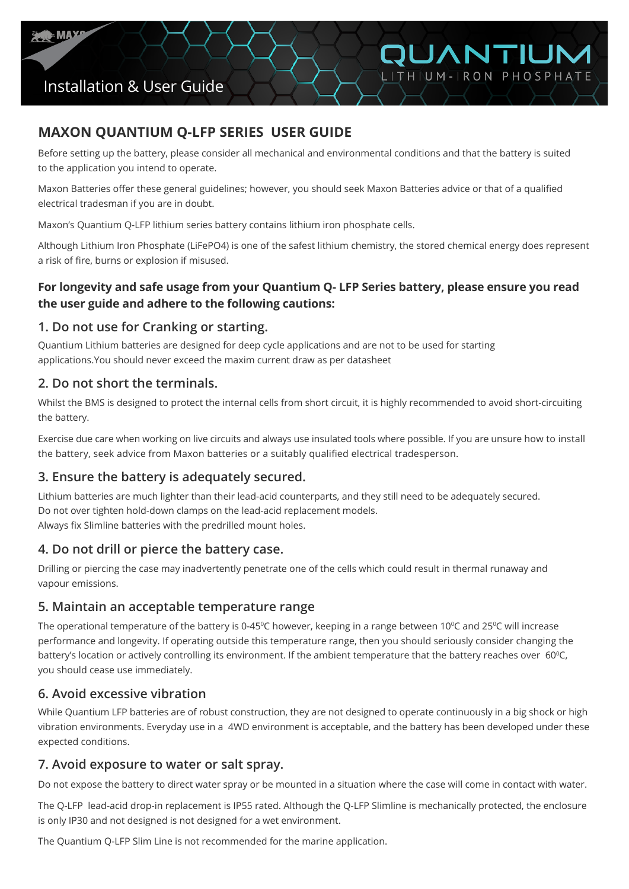

# Installation & User Guide

## **MAXON QUANTIUM Q-LFP SERIES USER GUIDE**

Before setting up the battery, please consider all mechanical and environmental conditions and that the battery is suited to the application you intend to operate.

OUANTIUM

LITHIUM-IRON PHOSPHATE

Maxon Batteries offer these general guidelines; however, you should seek Maxon Batteries advice or that of a qualified electrical tradesman if you are in doubt.

Maxon's Quantium Q-LFP lithium series battery contains lithium iron phosphate cells.

Although Lithium Iron Phosphate (LiFePO4) is one of the safest lithium chemistry, the stored chemical energy does represent a risk of fire, burns or explosion if misused.

#### **For longevity and safe usage from your Quantium Q- LFP Series battery, please ensure you read the user guide and adhere to the following cautions:**

#### **1. Do not use for Cranking or starting.**

Quantium Lithium batteries are designed for deep cycle applications and are not to be used for starting applications.You should never exceed the maxim current draw as per datasheet

#### **2. Do not short the terminals.**

Whilst the BMS is designed to protect the internal cells from short circuit, it is highly recommended to avoid short-circuiting the battery.

Exercise due care when working on live circuits and always use insulated tools where possible. If you are unsure how to install the battery, seek advice from Maxon batteries or a suitably qualified electrical tradesperson.

#### **3. Ensure the battery is adequately secured.**

Lithium batteries are much lighter than their lead-acid counterparts, and they still need to be adequately secured. Do not over tighten hold-down clamps on the lead-acid replacement models. Always fix Slimline batteries with the predrilled mount holes.

### **4. Do not drill or pierce the battery case.**

Drilling or piercing the case may inadvertently penetrate one of the cells which could result in thermal runaway and vapour emissions.

#### **5. Maintain an acceptable temperature range**

The operational temperature of the battery is 0-45°C however, keeping in a range between 10°C and 25°C will increase performance and longevity. If operating outside this temperature range, then you should seriously consider changing the battery's location or actively controlling its environment. If the ambient temperature that the battery reaches over  $60^{\circ}$ C, you should cease use immediately.

#### **6. Avoid excessive vibration**

While Quantium LFP batteries are of robust construction, they are not designed to operate continuously in a big shock or high vibration environments. Everyday use in a 4WD environment is acceptable, and the battery has been developed under these expected conditions.

#### **7. Avoid exposure to water or salt spray.**

Do not expose the battery to direct water spray or be mounted in a situation where the case will come in contact with water.

The Q-LFP lead-acid drop-in replacement is IP55 rated. Although the Q-LFP Slimline is mechanically protected, the enclosure is only IP30 and not designed is not designed for a wet environment.

The Quantium Q-LFP Slim Line is not recommended for the marine application.